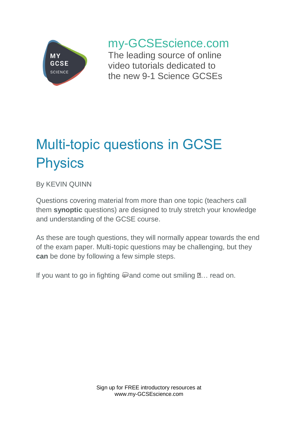

## my-GCSEscience.com

The leading source of online video tutorials dedicated to the new 9-1 Science GCSEs

# Multi-topic questions in GCSE **Physics**

By KEVIN QUINN

Questions covering material from more than one topic (teachers call them **synoptic** questions) are designed to truly stretch your knowledge and understanding of the GCSE course.

As these are tough questions, they will normally appear towards the end of the exam paper. Multi-topic questions may be challenging, but they **can** be done by following a few simple steps.

If you want to go in fighting  $\mathbb Q$  and come out smiling  $\mathbb Z$ ... read on.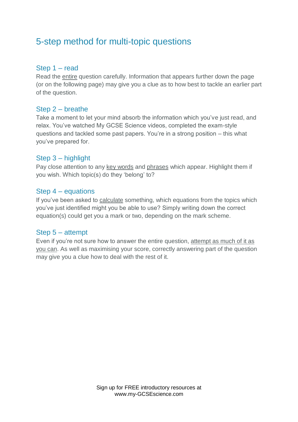### 5-step method for multi-topic questions

#### Step 1 – read

Read the entire question carefully. Information that appears further down the page (or on the following page) may give you a clue as to how best to tackle an earlier part of the question.

#### Step 2 – breathe

Take a moment to let your mind absorb the information which you've just read, and relax. You've watched My GCSE Science videos, completed the exam-style questions and tackled some past papers. You're in a strong position – this what you've prepared for.

#### Step 3 – highlight

Pay close attention to any key words and phrases which appear. Highlight them if you wish. Which topic(s) do they 'belong' to?

#### Step 4 – equations

If you've been asked to calculate something, which equations from the topics which you've just identified might you be able to use? Simply writing down the correct equation(s) could get you a mark or two, depending on the mark scheme.

#### Step 5 – attempt

Even if you're not sure how to answer the entire question, attempt as much of it as you can. As well as maximising your score, correctly answering part of the question may give you a clue how to deal with the rest of it.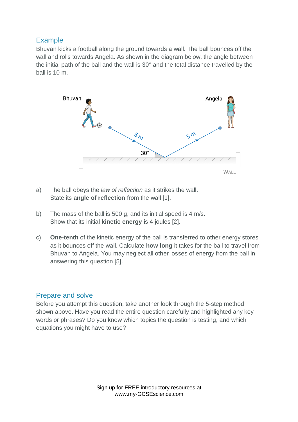#### Example

Bhuvan kicks a football along the ground towards a wall. The ball bounces off the wall and rolls towards Angela. As shown in the diagram below, the angle between the initial path of the ball and the wall is 30° and the total distance travelled by the ball is 10 m.



- a) The ball obeys the *law of reflection* as it strikes the wall. State its **angle of reflection** from the wall [1].
- b) The mass of the ball is 500 g, and its initial speed is 4 m/s. Show that its initial **kinetic energy** is 4 joules [2].
- c) **One-tenth** of the kinetic energy of the ball is transferred to other energy stores as it bounces off the wall. Calculate **how long** it takes for the ball to travel from Bhuvan to Angela. You may neglect all other losses of energy from the ball in answering this question [5].

#### Prepare and solve

Before you attempt this question, take another look through the 5-step method shown above. Have you read the entire question carefully and highlighted any key words or phrases? Do you know which topics the question is testing, and which equations you might have to use?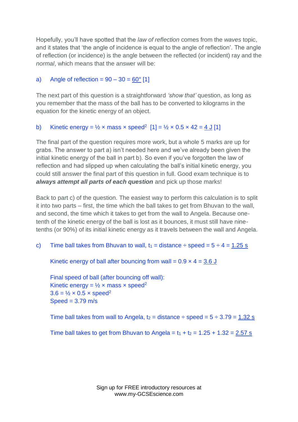Hopefully, you'll have spotted that the *law of reflection* comes from the *waves* topic, and it states that 'the angle of incidence is equal to the angle of reflection'. The angle of reflection (or incidence) is the angle between the reflected (or incident) ray and the *normal*, which means that the answer will be:

#### a) Angle of reflection =  $90 - 30 = 60^{\circ}$  [1]

The next part of this question is a straightforward *'show that'* question, as long as you remember that the mass of the ball has to be converted to kilograms in the equation for the kinetic energy of an object.

#### b) Kinetic energy =  $\frac{1}{2}$  x mass x speed<sup>2</sup> [1] =  $\frac{1}{2}$  x 0.5 x 42 =  $\frac{4}{1}$  [1]

The final part of the question requires more work, but a whole 5 marks are up for grabs. The answer to part a) isn't needed here and we've already been given the initial kinetic energy of the ball in part b). So even if you've forgotten the law of reflection and had slipped up when calculating the ball's initial kinetic energy, you could still answer the final part of this question in full. Good exam technique is to *always attempt all parts of each question* and pick up those marks!

Back to part c) of the question. The easiest way to perform this calculation is to split it into two parts – first, the time which the ball takes to get from Bhuvan to the wall, and second, the time which it takes to get from the wall to Angela. Because onetenth of the kinetic energy of the ball is lost as it bounces, it must still have ninetenths (or 90%) of its initial kinetic energy as it travels between the wall and Angela.

c) Time ball takes from Bhuvan to wall,  $t_1$  = distance  $\div$  speed =  $5 \div 4$  = 1.25 s

Kinetic energy of ball after bouncing from wall =  $0.9 \times 4 = 3.6$  J

Final speed of ball (after bouncing off wall): Kinetic energy =  $\frac{1}{2}$  x mass x speed<sup>2</sup>  $3.6 = \frac{1}{2} \times 0.5 \times \text{speed}^2$  $Speed = 3.79$  m/s

Time ball takes from wall to Angela,  $t_2$  = distance  $\div$  speed =  $5 \div 3.79$  = 1.32 s

Time ball takes to get from Bhuvan to Angela =  $t_1 + t_2 = 1.25 + 1.32 = 2.57$  s